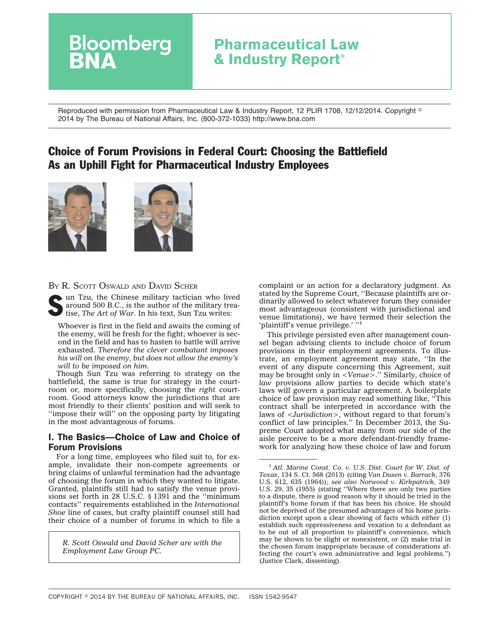## **Pharmaceutical Law & Industry Report®**

Reproduced with permission from Pharmaceutical Law & Industry Report, 12 PLIR 1708, 12/12/2014. Copyright - 2014 by The Bureau of National Affairs, Inc. (800-372-1033) http://www.bna.com

### Choice of Forum Provisions in Federal Court: Choosing the Battlefield As an Uphill Fight for Pharmaceutical Industry Employees





**Bloomberg** 

 $\bullet$  un Tzu, the Chinese military tactician who lived around 500 B.C., is the author of the military treatise, *The Art of War*. In his text, Sun Tzu writes:

Whoever is first in the field and awaits the coming of the enemy, will be fresh for the fight; whoever is second in the field and has to hasten to battle will arrive exhausted. *Therefore the clever combatant imposes his will on the enemy, but does not allow the enemy's will to be imposed on him*.

Though Sun Tzu was referring to strategy on the battlefield, the same is true for strategy in the courtroom or, more specifically, choosing the *right* courtroom. Good attorneys know the jurisdictions that are most friendly to their clients' position and will seek to ''impose their will'' on the opposing party by litigating in the most advantageous of forums.

### I. The Basics—Choice of Law and Choice of Forum Provisions

For a long time, employees who filed suit to, for example, invalidate their non-compete agreements or bring claims of unlawful termination had the advantage of choosing the forum in which they wanted to litigate. Granted, plaintiffs still had to satisfy the venue provisions set forth in 28 U.S.C. § 1391 and the ''minimum contacts'' requirements established in the *International Shoe* line of cases, but crafty plaintiff counsel still had their choice of a number of forums in which to file a

*R. Scott Oswald and David Scher are with the Employment Law Group PC.*

complaint or an action for a declaratory judgment. As stated by the Supreme Court, ''Because plaintiffs are ordinarily allowed to select whatever forum they consider most advantageous (consistent with jurisdictional and venue limitations), we have termed their selection the 'plaintiff's venue privilege.' "1

This privilege persisted even after management counsel began advising clients to include choice of forum provisions in their employment agreements. To illustrate, an employment agreement may state, ''In the event of any dispute concerning this Agreement, suit may be brought only in <*Venue*>.'' Similarly, choice of *law* provisions allow parties to decide which state's laws will govern a particular agreement. A boilerplate choice of law provision may read something like, ''This contract shall be interpreted in accordance with the laws of <*Jurisdiction*>, without regard to that forum's conflict of law principles.'' In December 2013, the Supreme Court adopted what many from our side of the aisle perceive to be a more defendant-friendly framework for analyzing how these choice of law and forum

<sup>1</sup> *Atl. Marine Const. Co. v. U.S. Dist. Court for W. Dist. of Texas*, 134 S. Ct. 568 (2013) (citing *Van Dusen v. Barrack*, 376 U.S. 612, 635 (1964)); *see also Norwood v. Kirkpatrick,* 349 U.S. 29, 35 (1955) (stating ''Where there are only two parties to a dispute, there is good reason why it should be tried in the plaintiff's home forum if that has been his choice. He should not be deprived of the presumed advantages of his home jurisdiction except upon a clear showing of facts which either (1) establish such oppressiveness and vexation to a defendant as to be out of all proportion to plaintiff's convenience, which may be shown to be slight or nonexistent, or (2) make trial in the chosen forum inappropriate because of considerations affecting the court's own administrative and legal problems.'') (Justice Clark, dissenting).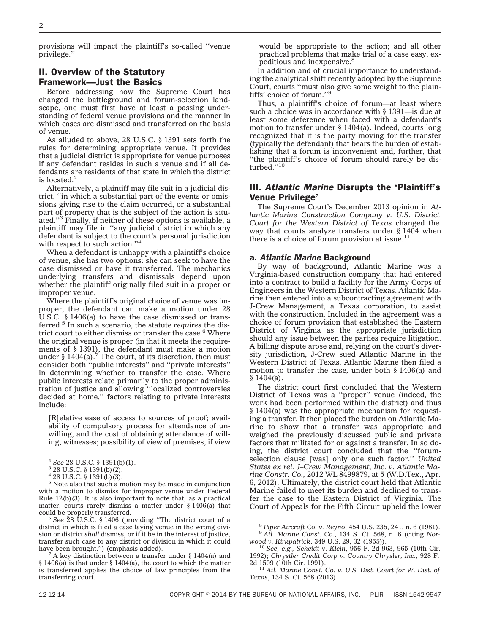provisions will impact the plaintiff's so-called ''venue privilege.''

# II. Overview of the Statutory

#### Framework—Just the Basics

Before addressing how the Supreme Court has changed the battleground and forum-selection landscape, one must first have at least a passing understanding of federal venue provisions and the manner in which cases are dismissed and transferred on the basis of venue.

As alluded to above, 28 U.S.C. § 1391 sets forth the rules for determining appropriate venue. It provides that a judicial district is appropriate for venue purposes if any defendant resides in such a venue and if all defendants are residents of that state in which the district is located.2

Alternatively, a plaintiff may file suit in a judicial district, ''in which a substantial part of the events or omissions giving rise to the claim occurred, or a substantial part of property that is the subject of the action is situated.''3 Finally, if neither of these options is available, a plaintiff may file in ''any judicial district in which any defendant is subject to the court's personal jurisdiction with respect to such action."<sup>4</sup>

When a defendant is unhappy with a plaintiff's choice of venue, she has two options: she can seek to have the case dismissed or have it transferred. The mechanics underlying transfers and dismissals depend upon whether the plaintiff originally filed suit in a proper or improper venue.

Where the plaintiff's original choice of venue was improper, the defendant can make a motion under 28 U.S.C. § 1406(a) to have the case dismissed or transferred.5 In such a scenario, the statute *requires* the district court to either dismiss or transfer the case.<sup>6</sup> Where the original venue is proper (in that it meets the requirements of § 1391), the defendant must make a motion under § 1404(a).<sup>7</sup> The court, at its discretion, then must consider both ''public interests'' and ''private interests'' in determining whether to transfer the case. Where public interests relate primarily to the proper administration of justice and allowing ''localized controversies decided at home,'' factors relating to private interests include:

[R]elative ease of access to sources of proof; availability of compulsory process for attendance of unwilling, and the cost of obtaining attendance of willing, witnesses; possibility of view of premises, if view

would be appropriate to the action; and all other practical problems that make trial of a case easy, expeditious and inexpensive.8

In addition and of crucial importance to understanding the analytical shift recently adopted by the Supreme Court, courts ''must also give some weight to the plaintiffs' choice of forum.''9

Thus, a plaintiff's choice of forum—at least where such a choice was in accordance with § 1391—is due at least some deference when faced with a defendant's motion to transfer under § 1404(a). Indeed, courts long recognized that it is the party moving for the transfer (typically the defendant) that bears the burden of establishing that a forum is inconvenient and, further, that ''the plaintiff's choice of forum should rarely be disturbed.''10

### III. *Atlantic Marine* Disrupts the 'Plaintiff's Venue Privilege'

The Supreme Court's December 2013 opinion in *Atlantic Marine Construction Company v. U.S. District Court for the Western District of Texas* changed the way that courts analyze transfers under § 1404 when there is a choice of forum provision at issue. $11$ 

#### a. *Atlantic Marine* Background

By way of background, Atlantic Marine was a Virginia-based construction company that had entered into a contract to build a facility for the Army Corps of Engineers in the Western District of Texas. Atlantic Marine then entered into a subcontracting agreement with J-Crew Management, a Texas corporation, to assist with the construction. Included in the agreement was a choice of forum provision that established the Eastern District of Virginia as the appropriate jurisdiction should any issue between the parties require litigation. A billing dispute arose and, relying on the court's diversity jurisdiction, J-Crew sued Atlantic Marine in the Western District of Texas. Atlantic Marine then filed a motion to transfer the case, under both § 1406(a) and § 1404(a).

The district court first concluded that the Western District of Texas was a ''proper'' venue (indeed, the work had been performed within the district) and thus § 1404(a) was the appropriate mechanism for requesting a transfer. It then placed the burden on Atlantic Marine to show that a transfer was appropriate and weighed the previously discussed public and private factors that militated for or against a transfer. In so doing, the district court concluded that the ''forumselection clause [was] only one such factor.'' *United States ex rel. J–Crew Management, Inc. v. Atlantic Marine Constr. Co.,* 2012 WL 8499879, at 5 (W.D.Tex., Apr. 6, 2012). Ultimately, the district court held that Atlantic Marine failed to meet its burden and declined to transfer the case to the Eastern District of Virginia. The Court of Appeals for the Fifth Circuit upheld the lower

<sup>2</sup> *See* 28 U.S.C. § 1391(b)(1). <sup>3</sup> 28 U.S.C. § 1391(b)(2).

 $428$  U.S.C. § 1391(b)(3).

<sup>5</sup> Note also that such a motion may be made in conjunction with a motion to dismiss for improper venue under Federal Rule 12(b)(3). It is also important to note that, as a practical matter, courts rarely dismiss a matter under  $§ 1406(a)$  that could be properly transferred.

<sup>&</sup>lt;sup>6</sup> See 28 U.S.C. § 1406 (providing "The district court of a district in which is filed a case laying venue in the wrong division or district *shall* dismiss, or if it be in the interest of justice, transfer such case to any district or division in which it could

<sup>&</sup>lt;sup>7</sup> A key distinction between a transfer under § 1404(a) and § 1406(a) is that under § 1404(a), the court to which the matter is transferred applies the choice of law principles from the transferring court.

<sup>8</sup> *Piper Aircraft Co. v. Reyno*, 454 U.S. 235, 241, n. 6 (1981). <sup>9</sup> *Atl. Marine Const. Co.*, 134 S. Ct. 568, n. 6 (citing *Nor-*

<sup>&</sup>lt;sup>10</sup> See, e.g., Scheidt v. Klein, 956 F. 2d 963, 965 (10th Cir. 1992); *Chrystler Credit Corp v. Country Chrysler, Inc.,* 928 F.

<sup>&</sup>lt;sup>11</sup> Atl. Marine Const. Co. v. U.S. Dist. Court for W. Dist. of *Texas*, 134 S. Ct. 568 (2013).